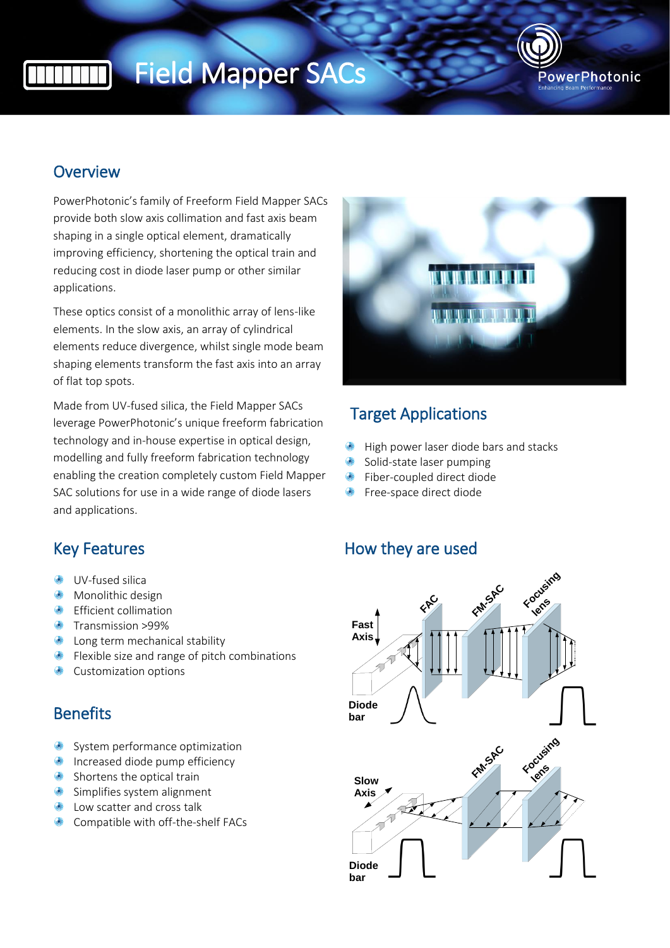# Field Mapper SACs



### **Overview**

PowerPhotonic's family of Freeform Field Mapper SACs provide both slow axis collimation and fast axis beam shaping in a single optical element, dramatically improving efficiency, shortening the optical train and reducing cost in diode laser pump or other similar applications.

These optics consist of a monolithic array of lens-like elements. In the slow axis, an array of cylindrical elements reduce divergence, whilst single mode beam shaping elements transform the fast axis into an array of flat top spots.

Made from UV-fused silica, the Field Mapper SACs leverage PowerPhotonic's unique freeform fabrication technology and in-house expertise in optical design, modelling and fully freeform fabrication technology enabling the creation completely custom Field Mapper SAC solutions for use in a wide range of diode lasers and applications.



### Target Applications

- High power laser diode bars and stacks
- Solid-state laser pumping
- $\odot$ Fiber-coupled direct diode
- **•** Free-space direct diode

### Key Features **How they are used**



- **UV-fused silica**
- Monolithic design
- **Efficient collimation**
- **Transmission >99%**
- **C** Long term mechanical stability
- **•** Flexible size and range of pitch combinations
- **Customization options**

### **Benefits**

- System performance optimization
- **Increased diode pump efficiency**
- Shortens the optical train
- Simplifies system alignment
- Low scatter and cross talk
- **Compatible with off-the-shelf FACs**